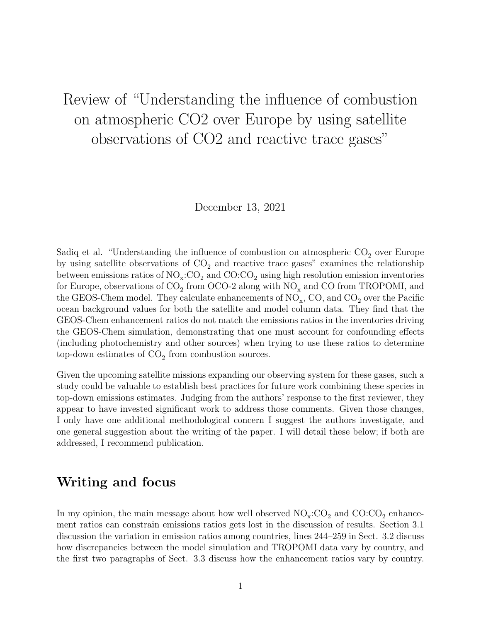## Review of "Understanding the influence of combustion on atmospheric CO2 over Europe by using satellite observations of CO2 and reactive trace gases"

December 13, 2021

Sadiq et al. "Understanding the influence of combustion on atmospheric  $CO_2$  over Europe by using satellite observations of  $CO<sub>2</sub>$  and reactive trace gases" examines the relationship between emissions ratios of  $\text{NO}_x$ : $\text{CO}_2$  and  $\text{CO}_2$  using high resolution emission inventories for Europe, observations of  $CO_2$  from OCO-2 along with  $NO_x$  and CO from TROPOMI, and the GEOS-Chem model. They calculate enhancements of  $\mathrm{NO_x}, \mathrm{CO}, \mathrm{and}$   $\mathrm{CO_2}$  over the Pacific ocean background values for both the satellite and model column data. They find that the GEOS-Chem enhancement ratios do not match the emissions ratios in the inventories driving the GEOS-Chem simulation, demonstrating that one must account for confounding effects (including photochemistry and other sources) when trying to use these ratios to determine top-down estimates of  $CO<sub>2</sub>$  from combustion sources.

Given the upcoming satellite missions expanding our observing system for these gases, such a study could be valuable to establish best practices for future work combining these species in top-down emissions estimates. Judging from the authors' response to the first reviewer, they appear to have invested significant work to address those comments. Given those changes, I only have one additional methodological concern I suggest the authors investigate, and one general suggestion about the writing of the paper. I will detail these below; if both are addressed, I recommend publication.

## Writing and focus

In my opinion, the main message about how well observed  $\mathrm{NO_x:CO_2}$  and  $\mathrm{CO:CO_2}$  enhancement ratios can constrain emissions ratios gets lost in the discussion of results. Section 3.1 discussion the variation in emission ratios among countries, lines 244–259 in Sect. 3.2 discuss how discrepancies between the model simulation and TROPOMI data vary by country, and the first two paragraphs of Sect. 3.3 discuss how the enhancement ratios vary by country.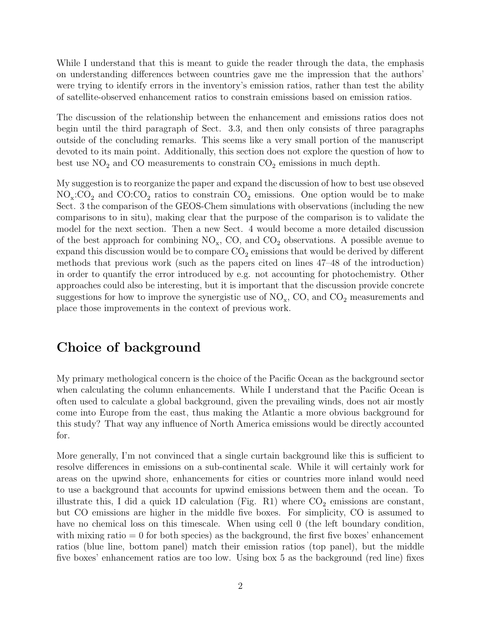While I understand that this is meant to guide the reader through the data, the emphasis on understanding differences between countries gave me the impression that the authors' were trying to identify errors in the inventory's emission ratios, rather than test the ability of satellite-observed enhancement ratios to constrain emissions based on emission ratios.

The discussion of the relationship between the enhancement and emissions ratios does not begin until the third paragraph of Sect. 3.3, and then only consists of three paragraphs outside of the concluding remarks. This seems like a very small portion of the manuscript devoted to its main point. Additionally, this section does not explore the question of how to best use  $NO<sub>2</sub>$  and CO measurements to constrain  $CO<sub>2</sub>$  emissions in much depth.

My suggestion is to reorganize the paper and expand the discussion of how to best use obseved  $NO_x$ : $CO_2$  and  $CO$ : $CO_2$  ratios to constrain  $CO_2$  emissions. One option would be to make Sect. 3 the comparison of the GEOS-Chem simulations with observations (including the new comparisons to in situ), making clear that the purpose of the comparison is to validate the model for the next section. Then a new Sect. 4 would become a more detailed discussion of the best approach for combining  $NO_x$ , CO, and  $CO_2$  observations. A possible avenue to expand this discussion would be to compare  $\mathrm{CO}_2$  emissions that would be derived by different methods that previous work (such as the papers cited on lines 47–48 of the introduction) in order to quantify the error introduced by e.g. not accounting for photochemistry. Other approaches could also be interesting, but it is important that the discussion provide concrete suggestions for how to improve the synergistic use of  $\mathrm{NO_x}$ , CO, and  $\mathrm{CO}_2$  measurements and place those improvements in the context of previous work.

## Choice of background

My primary methological concern is the choice of the Pacific Ocean as the background sector when calculating the column enhancements. While I understand that the Pacific Ocean is often used to calculate a global background, given the prevailing winds, does not air mostly come into Europe from the east, thus making the Atlantic a more obvious background for this study? That way any influence of North America emissions would be directly accounted for.

More generally, I'm not convinced that a single curtain background like this is sufficient to resolve differences in emissions on a sub-continental scale. While it will certainly work for areas on the upwind shore, enhancements for cities or countries more inland would need to use a background that accounts for upwind emissions between them and the ocean. To illustrate this, I did a quick 1D calculation (Fig. [R1\)](#page-3-0) where  $CO_2$  emissions are constant, but CO emissions are higher in the middle five boxes. For simplicity, CO is assumed to have no chemical loss on this timescale. When using cell 0 (the left boundary condition, with mixing ratio  $= 0$  for both species) as the background, the first five boxes' enhancement ratios (blue line, bottom panel) match their emission ratios (top panel), but the middle five boxes' enhancement ratios are too low. Using box 5 as the background (red line) fixes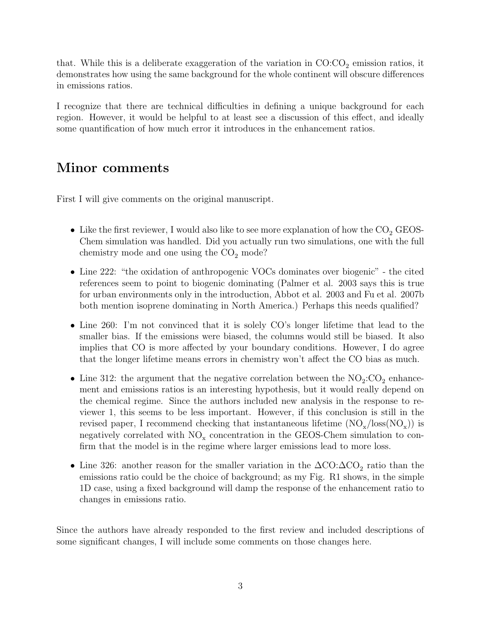that. While this is a deliberate exaggeration of the variation in  $CO:CO<sub>2</sub>$  emission ratios, it demonstrates how using the same background for the whole continent will obscure differences in emissions ratios.

I recognize that there are technical difficulties in defining a unique background for each region. However, it would be helpful to at least see a discussion of this effect, and ideally some quantification of how much error it introduces in the enhancement ratios.

## Minor comments

First I will give comments on the original manuscript.

- Like the first reviewer, I would also like to see more explanation of how the  $\mathrm{CO}_2$  GEOS-Chem simulation was handled. Did you actually run two simulations, one with the full chemistry mode and one using the  $CO<sub>2</sub>$  mode?
- Line 222: "the oxidation of anthropogenic VOCs dominates over biogenic" the cited references seem to point to biogenic dominating (Palmer et al. 2003 says this is true for urban environments only in the introduction, Abbot et al. 2003 and Fu et al. 2007b both mention isoprene dominating in North America.) Perhaps this needs qualified?
- Line 260: I'm not convinced that it is solely CO's longer lifetime that lead to the smaller bias. If the emissions were biased, the columns would still be biased. It also implies that CO is more affected by your boundary conditions. However, I do agree that the longer lifetime means errors in chemistry won't affect the CO bias as much.
- Line 312: the argument that the negative correlation between the  $NO<sub>2</sub>:CO<sub>2</sub>$  enhancement and emissions ratios is an interesting hypothesis, but it would really depend on the chemical regime. Since the authors included new analysis in the response to reviewer 1, this seems to be less important. However, if this conclusion is still in the revised paper, I recommend checking that instantaneous lifetime  $(NO_x / loss(NO_x))$  is negatively correlated with  $NO_x$  concentration in the GEOS-Chem simulation to confirm that the model is in the regime where larger emissions lead to more loss.
- Line 326: another reason for the smaller variation in the  $\Delta CO: \Delta CO_2$  ratio than the emissions ratio could be the choice of background; as my Fig. [R1](#page-3-0) shows, in the simple 1D case, using a fixed background will damp the response of the enhancement ratio to changes in emissions ratio.

Since the authors have already responded to the first review and included descriptions of some significant changes, I will include some comments on those changes here.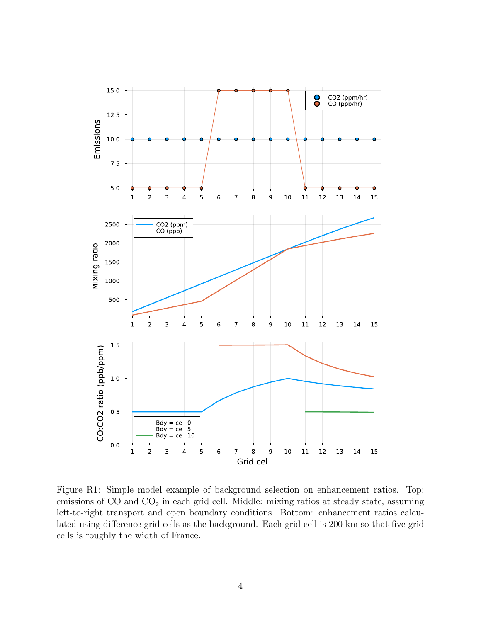

<span id="page-3-0"></span>Figure R1: Simple model example of background selection on enhancement ratios. Top: emissions of  $CO$  and  $CO<sub>2</sub>$  in each grid cell. Middle: mixing ratios at steady state, assuming left-to-right transport and open boundary conditions. Bottom: enhancement ratios calculated using difference grid cells as the background. Each grid cell is 200 km so that five grid cells is roughly the width of France.